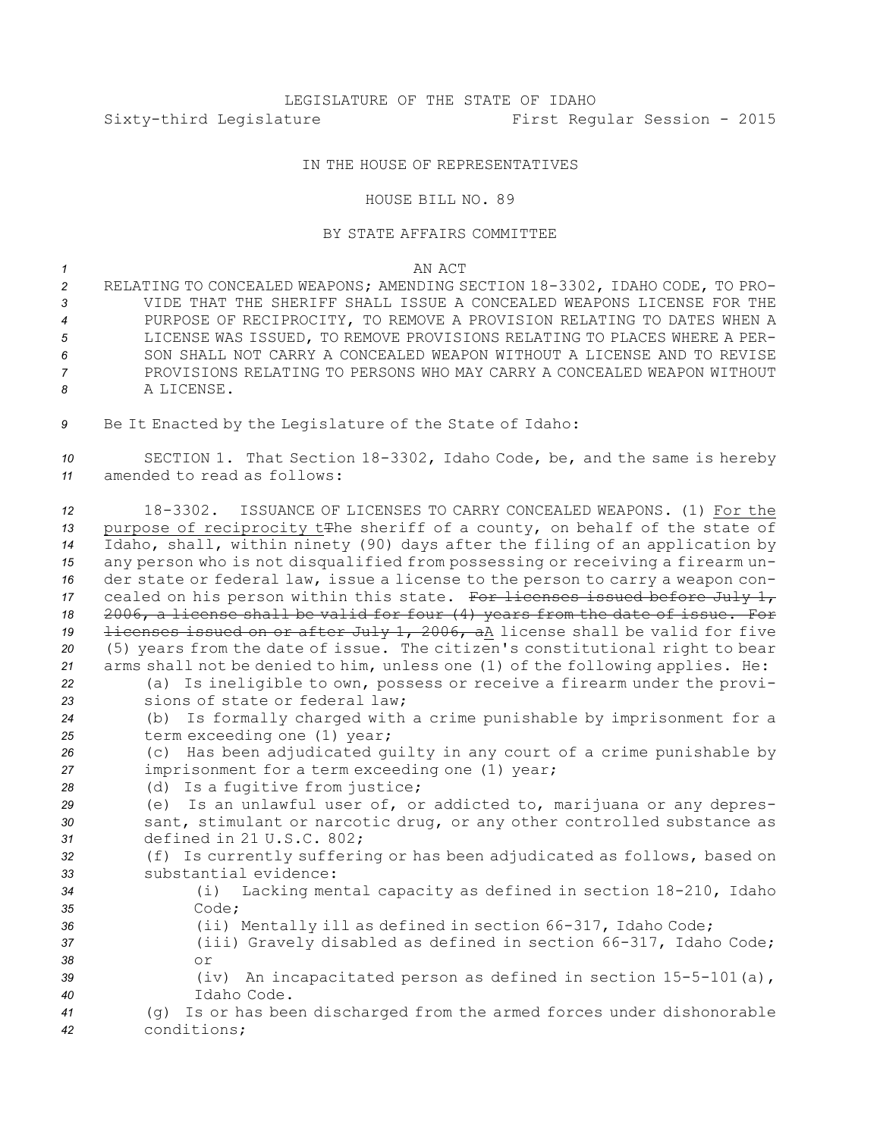## LEGISLATURE OF THE STATE OF IDAHO Sixty-third Legislature First Regular Session - 2015

## IN THE HOUSE OF REPRESENTATIVES

## HOUSE BILL NO. 89

## BY STATE AFFAIRS COMMITTEE

*1* AN ACT

- *<sup>2</sup>* RELATING TO CONCEALED WEAPONS; AMENDING SECTION 18-3302, IDAHO CODE, TO PRO-*3* VIDE THAT THE SHERIFF SHALL ISSUE A CONCEALED WEAPONS LICENSE FOR THE 4 PURPOSE OF RECIPROCITY, TO REMOVE A PROVISION RELATING TO DATES WHEN A *5* LICENSE WAS ISSUED, TO REMOVE PROVISIONS RELATING TO PLACES WHERE A PER-*6* SON SHALL NOT CARRY A CONCEALED WEAPON WITHOUT A LICENSE AND TO REVISE *7* PROVISIONS RELATING TO PERSONS WHO MAY CARRY A CONCEALED WEAPON WITHOUT *8* A LICENSE.
- *<sup>9</sup>* Be It Enacted by the Legislature of the State of Idaho:

*<sup>10</sup>* SECTION 1. That Section 18-3302, Idaho Code, be, and the same is hereby *11* amended to read as follows:

 18-3302. ISSUANCE OF LICENSES TO CARRY CONCEALED WEAPONS. (1) For the 13 purpose of reciprocity t<del>T</del>he sheriff of a county, on behalf of the state of Idaho, shall, within ninety (90) days after the filing of an application by any person who is not disqualified from possessing or receiving <sup>a</sup> firearm un- der state or federal law, issue <sup>a</sup> license to the person to carry <sup>a</sup> weapon con-17 cealed on his person within this state. For licenses issued before July 1, 2006, <sup>a</sup> license shall be valid for four (4) years from the date of issue. For licenses issued on or after July 1, 2006, aA license shall be valid for five (5) years from the date of issue. The citizen's constitutional right to bear arms shall not be denied to him, unless one (1) of the following applies. He: (a) Is ineligible to own, possess or receive <sup>a</sup> firearm under the provi- sions of state or federal law; (b) Is formally charged with <sup>a</sup> crime punishable by imprisonment for <sup>a</sup> term exceeding one (1) year; (c) Has been adjudicated guilty in any court of <sup>a</sup> crime punishable by imprisonment for <sup>a</sup> term exceeding one (1) year; (d) Is <sup>a</sup> fugitive from justice; (e) Is an unlawful user of, or addicted to, marijuana or any depres- sant, stimulant or narcotic drug, or any other controlled substance as defined in 21 U.S.C. 802; (f) Is currently suffering or has been adjudicated as follows, based on substantial evidence: (i) Lacking mental capacity as defined in section 18-210, Idaho *35* Code; (ii) Mentally ill as defined in section 66-317, Idaho Code; (iii) Gravely disabled as defined in section 66-317, Idaho Code; *38* or (iv) An incapacitated person as defined in section 15-5-101(a), Idaho Code. (g) Is or has been discharged from the armed forces under dishonorable conditions;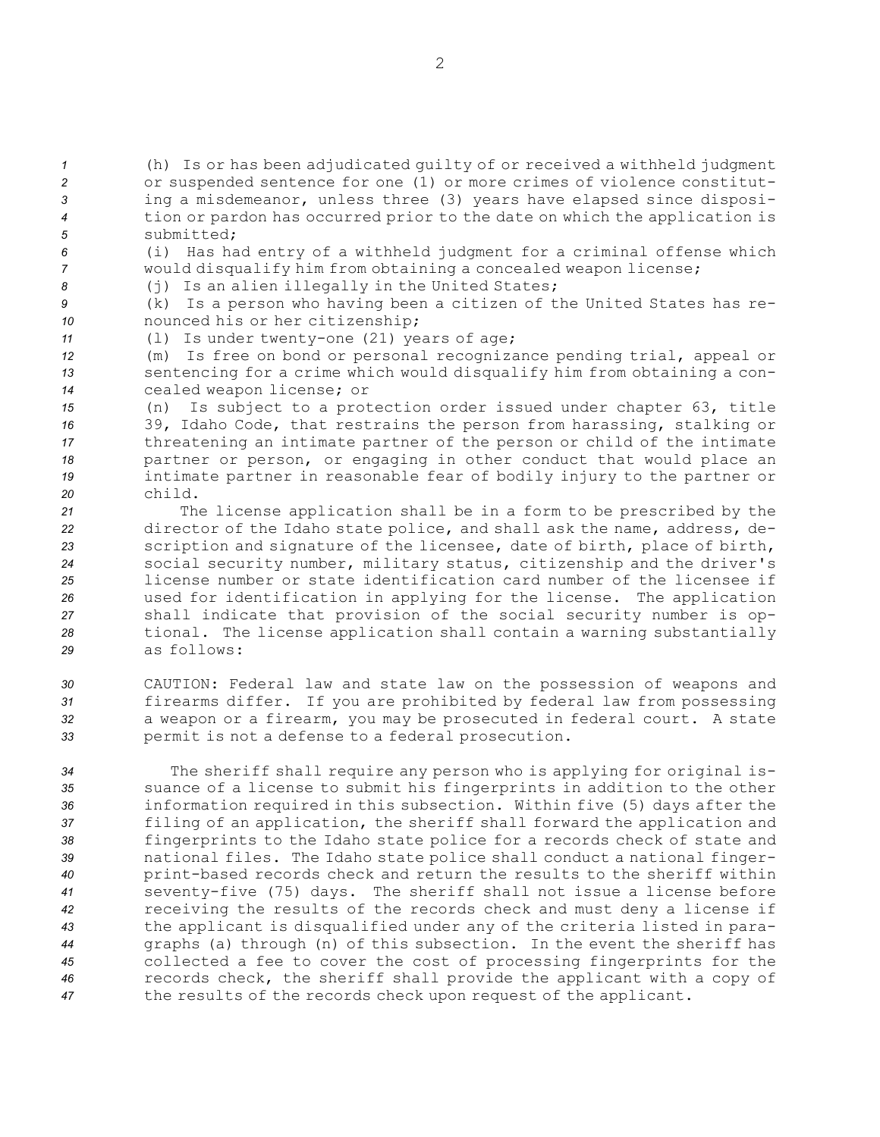(h) Is or has been adjudicated guilty of or received <sup>a</sup> withheld judgment or suspended sentence for one (1) or more crimes of violence constitut- ing <sup>a</sup> misdemeanor, unless three (3) years have elapsed since disposi- tion or pardon has occurred prior to the date on which the application is submitted;

*<sup>6</sup>* (i) Has had entry of <sup>a</sup> withheld judgment for <sup>a</sup> criminal offense which *<sup>7</sup>* would disqualify him from obtaining <sup>a</sup> concealed weapon license;

8 (j) Is an alien illegally in the United States;

*<sup>9</sup>* (k) Is <sup>a</sup> person who having been <sup>a</sup> citizen of the United States has re-*<sup>10</sup>* nounced his or her citizenship;

*<sup>11</sup>* (l) Is under twenty-one (21) years of age;

*<sup>12</sup>* (m) Is free on bond or personal recognizance pending trial, appeal or *<sup>13</sup>* sentencing for <sup>a</sup> crime which would disqualify him from obtaining <sup>a</sup> con-*<sup>14</sup>* cealed weapon license; or

 (n) Is subject to <sup>a</sup> protection order issued under chapter 63, title 39, Idaho Code, that restrains the person from harassing, stalking or threatening an intimate partner of the person or child of the intimate partner or person, or engaging in other conduct that would place an intimate partner in reasonable fear of bodily injury to the partner or *20* child.

 The license application shall be in <sup>a</sup> form to be prescribed by the director of the Idaho state police, and shall ask the name, address, de- scription and signature of the licensee, date of birth, place of birth, social security number, military status, citizenship and the driver's license number or state identification card number of the licensee if used for identification in applying for the license. The application shall indicate that provision of the social security number is op- tional. The license application shall contain <sup>a</sup> warning substantially as follows:

 CAUTION: Federal law and state law on the possession of weapons and firearms differ. If you are prohibited by federal law from possessing <sup>a</sup> weapon or <sup>a</sup> firearm, you may be prosecuted in federal court. <sup>A</sup> state permit is not <sup>a</sup> defense to <sup>a</sup> federal prosecution.

 The sheriff shall require any person who is applying for original is- suance of <sup>a</sup> license to submit his fingerprints in addition to the other information required in this subsection. Within five (5) days after the filing of an application, the sheriff shall forward the application and fingerprints to the Idaho state police for <sup>a</sup> records check of state and national files. The Idaho state police shall conduct <sup>a</sup> national finger- print-based records check and return the results to the sheriff within seventy-five (75) days. The sheriff shall not issue <sup>a</sup> license before receiving the results of the records check and must deny <sup>a</sup> license if the applicant is disqualified under any of the criteria listed in para- graphs (a) through (n) of this subsection. In the event the sheriff has collected <sup>a</sup> fee to cover the cost of processing fingerprints for the records check, the sheriff shall provide the applicant with <sup>a</sup> copy of the results of the records check upon request of the applicant.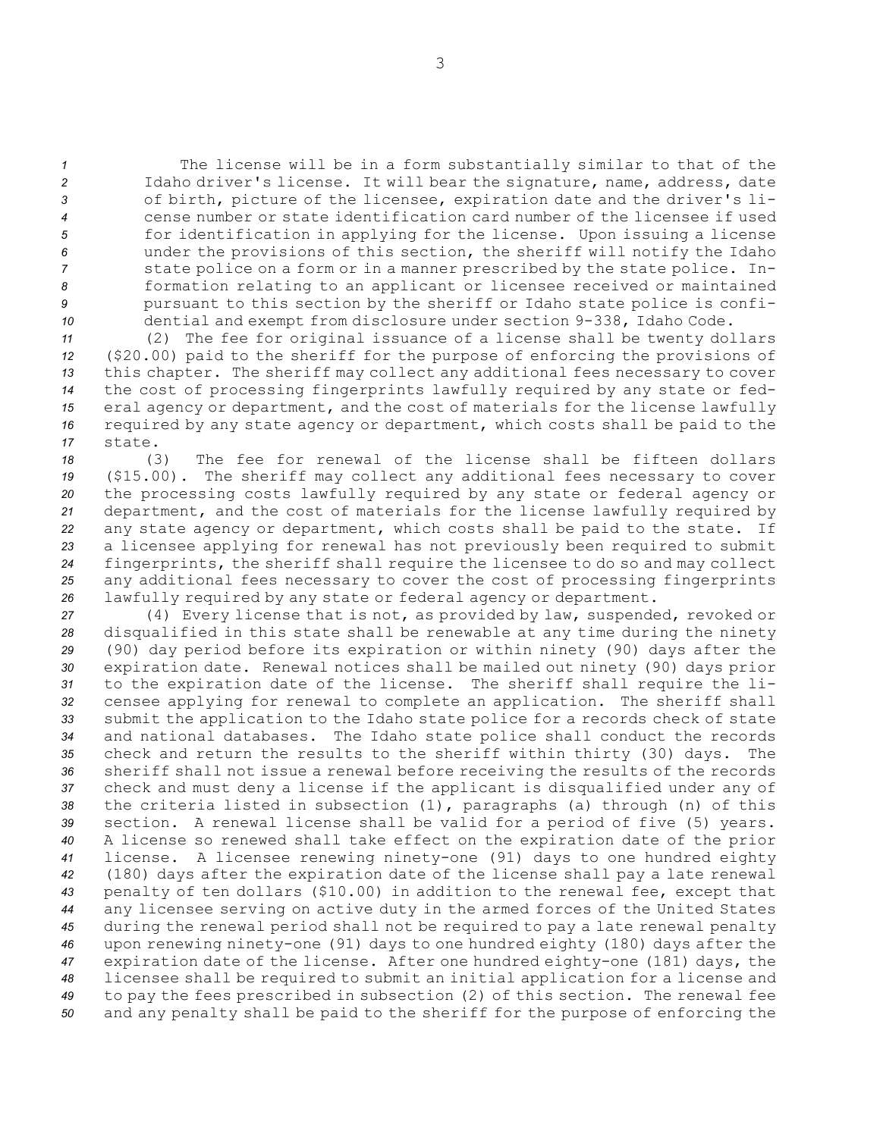The license will be in <sup>a</sup> form substantially similar to that of the Idaho driver's license. It will bear the signature, name, address, date of birth, picture of the licensee, expiration date and the driver's li- cense number or state identification card number of the licensee if used for identification in applying for the license. Upon issuing <sup>a</sup> license under the provisions of this section, the sheriff will notify the Idaho state police on <sup>a</sup> form or in <sup>a</sup> manner prescribed by the state police. In- formation relating to an applicant or licensee received or maintained **9** pursuant to this section by the sheriff or Idaho state police is confi-dential and exempt from disclosure under section 9-338, Idaho Code.

 (2) The fee for original issuance of <sup>a</sup> license shall be twenty dollars (\$20.00) paid to the sheriff for the purpose of enforcing the provisions of this chapter. The sheriff may collect any additional fees necessary to cover the cost of processing fingerprints lawfully required by any state or fed- eral agency or department, and the cost of materials for the license lawfully required by any state agency or department, which costs shall be paid to the *17* state.

 (3) The fee for renewal of the license shall be fifteen dollars (\$15.00). The sheriff may collect any additional fees necessary to cover the processing costs lawfully required by any state or federal agency or department, and the cost of materials for the license lawfully required by any state agency or department, which costs shall be paid to the state. If <sup>a</sup> licensee applying for renewal has not previously been required to submit fingerprints, the sheriff shall require the licensee to do so and may collect any additional fees necessary to cover the cost of processing fingerprints lawfully required by any state or federal agency or department.

 (4) Every license that is not, as provided by law, suspended, revoked or disqualified in this state shall be renewable at any time during the ninety (90) day period before its expiration or within ninety (90) days after the expiration date. Renewal notices shall be mailed out ninety (90) days prior to the expiration date of the license. The sheriff shall require the li- censee applying for renewal to complete an application. The sheriff shall submit the application to the Idaho state police for <sup>a</sup> records check of state and national databases. The Idaho state police shall conduct the records check and return the results to the sheriff within thirty (30) days. The sheriff shall not issue <sup>a</sup> renewal before receiving the results of the records check and must deny <sup>a</sup> license if the applicant is disqualified under any of the criteria listed in subsection (1), paragraphs (a) through (n) of this section. <sup>A</sup> renewal license shall be valid for <sup>a</sup> period of five (5) years. <sup>A</sup> license so renewed shall take effect on the expiration date of the prior license. <sup>A</sup> licensee renewing ninety-one (91) days to one hundred eighty (180) days after the expiration date of the license shall pay <sup>a</sup> late renewal penalty of ten dollars (\$10.00) in addition to the renewal fee, except that any licensee serving on active duty in the armed forces of the United States during the renewal period shall not be required to pay <sup>a</sup> late renewal penalty upon renewing ninety-one (91) days to one hundred eighty (180) days after the expiration date of the license. After one hundred eighty-one (181) days, the licensee shall be required to submit an initial application for <sup>a</sup> license and to pay the fees prescribed in subsection (2) of this section. The renewal fee and any penalty shall be paid to the sheriff for the purpose of enforcing the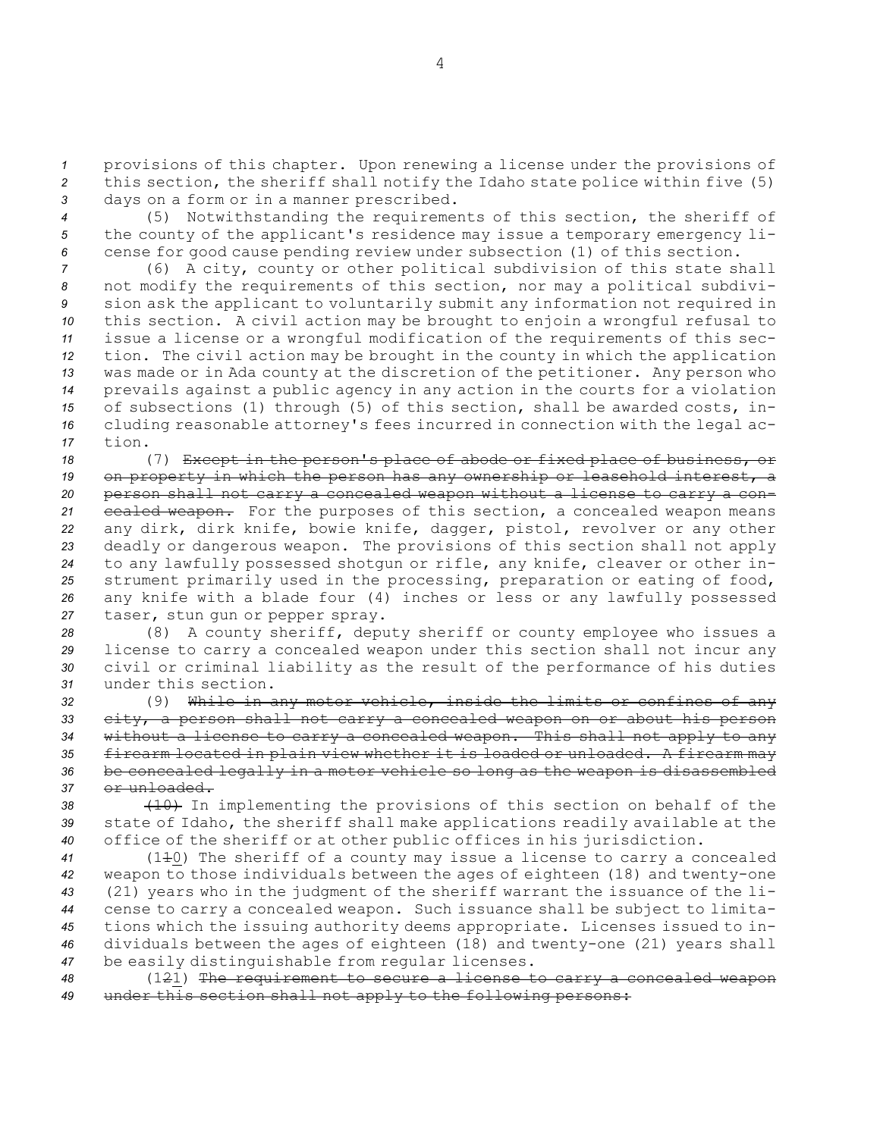*<sup>1</sup>* provisions of this chapter. Upon renewing <sup>a</sup> license under the provisions of *<sup>2</sup>* this section, the sheriff shall notify the Idaho state police within five (5) *<sup>3</sup>* days on <sup>a</sup> form or in <sup>a</sup> manner prescribed.

*<sup>4</sup>* (5) Notwithstanding the requirements of this section, the sheriff of *<sup>5</sup>* the county of the applicant's residence may issue <sup>a</sup> temporary emergency li-*<sup>6</sup>* cense for good cause pending review under subsection (1) of this section.

 (6) <sup>A</sup> city, county or other political subdivision of this state shall not modify the requirements of this section, nor may <sup>a</sup> political subdivi- sion ask the applicant to voluntarily submit any information not required in this section. <sup>A</sup> civil action may be brought to enjoin <sup>a</sup> wrongful refusal to issue <sup>a</sup> license or <sup>a</sup> wrongful modification of the requirements of this sec- tion. The civil action may be brought in the county in which the application was made or in Ada county at the discretion of the petitioner. Any person who prevails against <sup>a</sup> public agency in any action in the courts for <sup>a</sup> violation of subsections (1) through (5) of this section, shall be awarded costs, in- cluding reasonable attorney's fees incurred in connection with the legal ac-*17* tion.

 (7) Except in the person's place of abode or fixed place of business, or on property in which the person has any ownership or leasehold interest, <sup>a</sup> person shall not carry <sup>a</sup> concealed weapon without <sup>a</sup> license to carry <sup>a</sup> con- cealed weapon. For the purposes of this section, <sup>a</sup> concealed weapon means any dirk, dirk knife, bowie knife, dagger, pistol, revolver or any other deadly or dangerous weapon. The provisions of this section shall not apply to any lawfully possessed shotgun or rifle, any knife, cleaver or other in- strument primarily used in the processing, preparation or eating of food, any knife with <sup>a</sup> blade four (4) inches or less or any lawfully possessed taser, stun gun or pepper spray.

 (8) <sup>A</sup> county sheriff, deputy sheriff or county employee who issues <sup>a</sup> license to carry <sup>a</sup> concealed weapon under this section shall not incur any civil or criminal liability as the result of the performance of his duties under this section.

 (9) While in any motor vehicle, inside the limits or confines of any city, <sup>a</sup> person shall not carry <sup>a</sup> concealed weapon on or about his person without <sup>a</sup> license to carry <sup>a</sup> concealed weapon. This shall not apply to any firearm located in plain view whether it is loaded or unloaded. <sup>A</sup> firearm may be concealed legally in <sup>a</sup> motor vehicle so long as the weapon is disassembled or unloaded.

*<sup>38</sup>* (10) In implementing the provisions of this section on behalf of the *<sup>39</sup>* state of Idaho, the sheriff shall make applications readily available at the *<sup>40</sup>* office of the sheriff or at other public offices in his jurisdiction.

 (110) The sheriff of <sup>a</sup> county may issue <sup>a</sup> license to carry <sup>a</sup> concealed weapon to those individuals between the ages of eighteen (18) and twenty-one (21) years who in the judgment of the sheriff warrant the issuance of the li- cense to carry <sup>a</sup> concealed weapon. Such issuance shall be subject to limita- tions which the issuing authority deems appropriate. Licenses issued to in- dividuals between the ages of eighteen (18) and twenty-one (21) years shall be easily distinguishable from regular licenses.

*<sup>48</sup>* (121) The requirement to secure <sup>a</sup> license to carry <sup>a</sup> concealed weapon *<sup>49</sup>* under this section shall not apply to the following persons: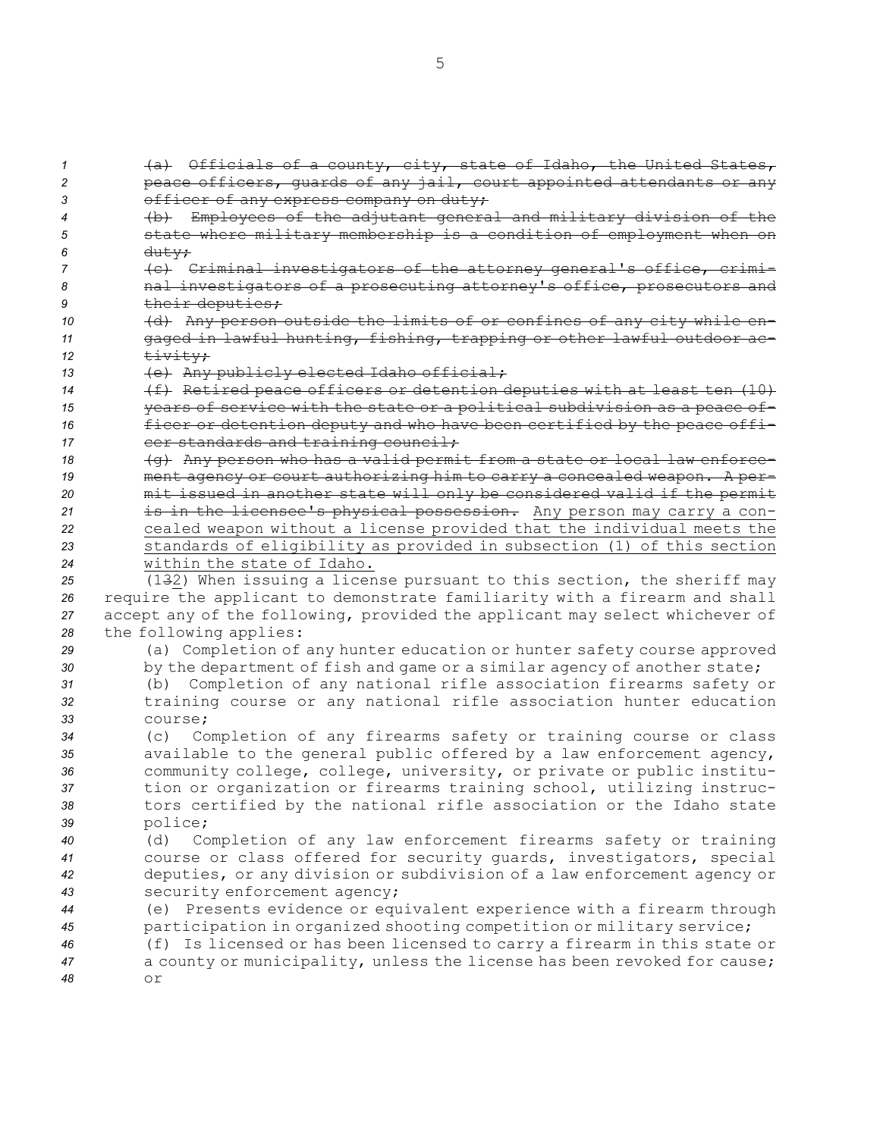(a) Officials of <sup>a</sup> county, city, state of Idaho, the United States, peace officers, guards of any jail, court appointed attendants or any **3** officer of any express company on duty; (b) Employees of the adjutant general and military division of the state where military membership is <sup>a</sup> condition of employment when on *<sup>6</sup>* duty; (c) Criminal investigators of the attorney general's office, crimi- nal investigators of <sup>a</sup> prosecuting attorney's office, prosecutors and 9 their deputies; (d) Any person outside the limits of or confines of any city while en- gaged in lawful hunting, fishing, trapping or other lawful outdoor ac- $\qquad \qquad \frac{1}{2}$  (e) Any publicly elected Idaho official; (f) Retired peace officers or detention deputies with at least ten (10) years of service with the state or <sup>a</sup> political subdivision as <sup>a</sup> peace of- ficer or detention deputy and who have been certified by the peace offi-17 cer standards and training council; 18 (g) Any person who has a valid permit from a state or local law enforce- ment agency or court authorizing him to carry <sup>a</sup> concealed weapon. <sup>A</sup> per- mit issued in another state will only be considered valid if the permit is in the licensee's physical possession. Any person may carry <sup>a</sup> con- cealed weapon without <sup>a</sup> license provided that the individual meets the standards of eligibility as provided in subsection (1) of this section within the state of Idaho. (132) When issuing <sup>a</sup> license pursuant to this section, the sheriff may require the applicant to demonstrate familiarity with <sup>a</sup> firearm and shall accept any of the following, provided the applicant may select whichever of the following applies: (a) Completion of any hunter education or hunter safety course approved 30 by the department of fish and game or a similar agency of another state; (b) Completion of any national rifle association firearms safety or training course or any national rifle association hunter education *33* course; (c) Completion of any firearms safety or training course or class available to the general public offered by <sup>a</sup> law enforcement agency, community college, college, university, or private or public institu- tion or organization or firearms training school, utilizing instruc- tors certified by the national rifle association or the Idaho state *<sup>39</sup>* police; (d) Completion of any law enforcement firearms safety or training course or class offered for security guards, investigators, special deputies, or any division or subdivision of <sup>a</sup> law enforcement agency or security enforcement agency; (e) Presents evidence or equivalent experience with <sup>a</sup> firearm through participation in organized shooting competition or military service; (f) Is licensed or has been licensed to carry <sup>a</sup> firearm in this state or <sup>a</sup> county or municipality, unless the license has been revoked for cause; *48* or